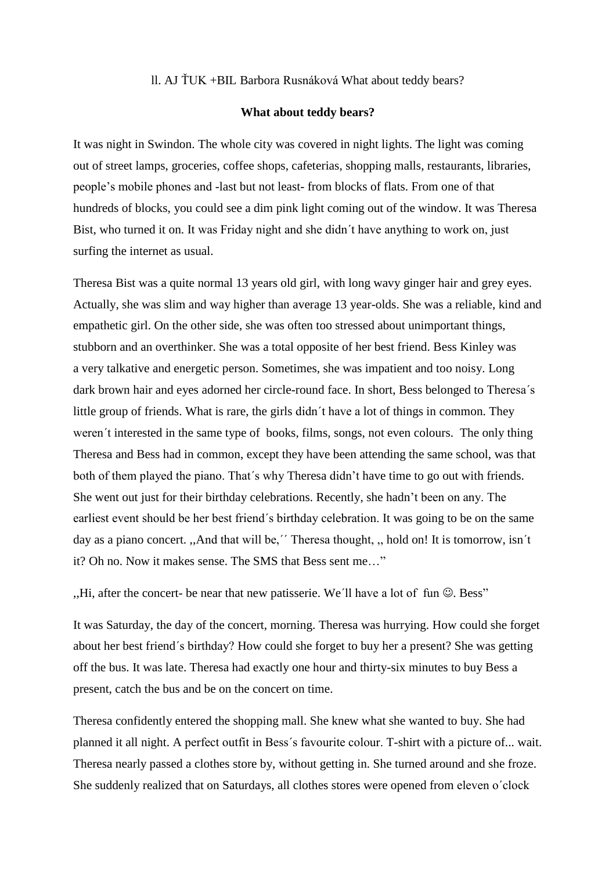ll. AJ ŤUK +BIL Barbora Rusnáková What about teddy bears?

## **What about teddy bears?**

It was night in Swindon. The whole city was covered in night lights. The light was coming out of street lamps, groceries, coffee shops, cafeterias, shopping malls, restaurants, libraries, people's mobile phones and -last but not least- from blocks of flats. From one of that hundreds of blocks, you could see a dim pink light coming out of the window. It was Theresa Bist, who turned it on. It was Friday night and she didn´t have anything to work on, just surfing the internet as usual.

Theresa Bist was a quite normal 13 years old girl, with long wavy ginger hair and grey eyes. Actually, she was slim and way higher than average 13 year-olds. She was a reliable, kind and empathetic girl. On the other side, she was often too stressed about unimportant things, stubborn and an overthinker. She was a total opposite of her best friend. Bess Kinley was a very talkative and energetic person. Sometimes, she was impatient and too noisy. Long dark brown hair and eyes adorned her circle-round face. In short, Bess belonged to Theresa´s little group of friends. What is rare, the girls didn´t have a lot of things in common. They weren´t interested in the same type of books, films, songs, not even colours. The only thing Theresa and Bess had in common, except they have been attending the same school, was that both of them played the piano. That´s why Theresa didn't have time to go out with friends. She went out just for their birthday celebrations. Recently, she hadn't been on any. The earliest event should be her best friend´s birthday celebration. It was going to be on the same day as a piano concert. "And that will be," Theresa thought, "hold on! It is tomorrow, isn't it? Oh no. Now it makes sense. The SMS that Bess sent me…"

,,Hi, after the concert- be near that new patisserie. We'll have a lot of fun  $\odot$ . Bess"

It was Saturday, the day of the concert, morning. Theresa was hurrying. How could she forget about her best friend´s birthday? How could she forget to buy her a present? She was getting off the bus. It was late. Theresa had exactly one hour and thirty-six minutes to buy Bess a present, catch the bus and be on the concert on time.

Theresa confidently entered the shopping mall. She knew what she wanted to buy. She had planned it all night. A perfect outfit in Bess´s favourite colour. T-shirt with a picture of... wait. Theresa nearly passed a clothes store by, without getting in. She turned around and she froze. She suddenly realized that on Saturdays, all clothes stores were opened from eleven o´clock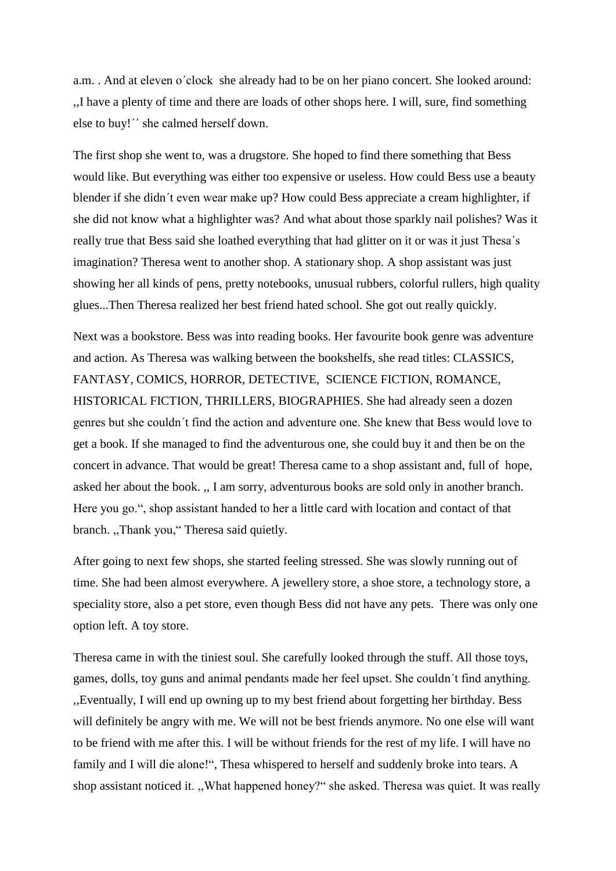a.m. . And at eleven o´clock she already had to be on her piano concert. She looked around: ,,I have a plenty of time and there are loads of other shops here. I will, sure, find something else to buy!´´ she calmed herself down.

The first shop she went to, was a drugstore. She hoped to find there something that Bess would like. But everything was either too expensive or useless. How could Bess use a beauty blender if she didn´t even wear make up? How could Bess appreciate a cream highlighter, if she did not know what a highlighter was? And what about those sparkly nail polishes? Was it really true that Bess said she loathed everything that had glitter on it or was it just Thesa´s imagination? Theresa went to another shop. A stationary shop. A shop assistant was just showing her all kinds of pens, pretty notebooks, unusual rubbers, colorful rullers, high quality glues...Then Theresa realized her best friend hated school. She got out really quickly.

Next was a bookstore. Bess was into reading books. Her favourite book genre was adventure and action. As Theresa was walking between the bookshelfs, she read titles: CLASSICS, FANTASY, COMICS, HORROR, DETECTIVE, SCIENCE FICTION, ROMANCE, HISTORICAL FICTION, THRILLERS, BIOGRAPHIES. She had already seen a dozen genres but she couldn´t find the action and adventure one. She knew that Bess would love to get a book. If she managed to find the adventurous one, she could buy it and then be on the concert in advance. That would be great! Theresa came to a shop assistant and, full of hope, asked her about the book. ,, I am sorry, adventurous books are sold only in another branch. Here you go.", shop assistant handed to her a little card with location and contact of that branch. ,,Thank you," Theresa said quietly.

After going to next few shops, she started feeling stressed. She was slowly running out of time. She had been almost everywhere. A jewellery store, a shoe store, a technology store, a speciality store, also a pet store, even though Bess did not have any pets. There was only one option left. A toy store.

Theresa came in with the tiniest soul. She carefully looked through the stuff. All those toys, games, dolls, toy guns and animal pendants made her feel upset. She couldn´t find anything. ,,Eventually, I will end up owning up to my best friend about forgetting her birthday. Bess will definitely be angry with me. We will not be best friends anymore. No one else will want to be friend with me after this. I will be without friends for the rest of my life. I will have no family and I will die alone!", Thesa whispered to herself and suddenly broke into tears. A shop assistant noticed it. ,,What happened honey?" she asked. Theresa was quiet. It was really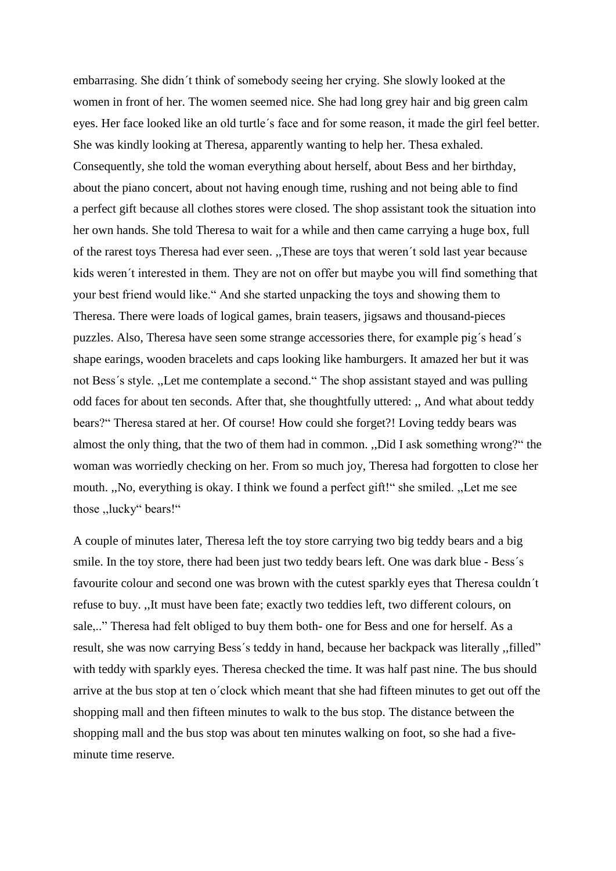embarrasing. She didn´t think of somebody seeing her crying. She slowly looked at the women in front of her. The women seemed nice. She had long grey hair and big green calm eyes. Her face looked like an old turtle´s face and for some reason, it made the girl feel better. She was kindly looking at Theresa, apparently wanting to help her. Thesa exhaled. Consequently, she told the woman everything about herself, about Bess and her birthday, about the piano concert, about not having enough time, rushing and not being able to find a perfect gift because all clothes stores were closed. The shop assistant took the situation into her own hands. She told Theresa to wait for a while and then came carrying a huge box, full of the rarest toys Theresa had ever seen. ,,These are toys that weren´t sold last year because kids weren´t interested in them. They are not on offer but maybe you will find something that your best friend would like." And she started unpacking the toys and showing them to Theresa. There were loads of logical games, brain teasers, jigsaws and thousand-pieces puzzles. Also, Theresa have seen some strange accessories there, for example pig´s head´s shape earings, wooden bracelets and caps looking like hamburgers. It amazed her but it was not Bess´s style. ,,Let me contemplate a second." The shop assistant stayed and was pulling odd faces for about ten seconds. After that, she thoughtfully uttered: ,, And what about teddy bears?" Theresa stared at her. Of course! How could she forget?! Loving teddy bears was almost the only thing, that the two of them had in common. ,,Did I ask something wrong?" the woman was worriedly checking on her. From so much joy, Theresa had forgotten to close her mouth. ,,No, everything is okay. I think we found a perfect gift!" she smiled. ,,Let me see those ,,lucky" bears!"

A couple of minutes later, Theresa left the toy store carrying two big teddy bears and a big smile. In the toy store, there had been just two teddy bears left. One was dark blue - Bess´s favourite colour and second one was brown with the cutest sparkly eyes that Theresa couldn´t refuse to buy. ,,It must have been fate; exactly two teddies left, two different colours, on sale,.." Theresa had felt obliged to buy them both- one for Bess and one for herself. As a result, she was now carrying Bess´s teddy in hand, because her backpack was literally ,,filled" with teddy with sparkly eyes. Theresa checked the time. It was half past nine. The bus should arrive at the bus stop at ten o´clock which meant that she had fifteen minutes to get out off the shopping mall and then fifteen minutes to walk to the bus stop. The distance between the shopping mall and the bus stop was about ten minutes walking on foot, so she had a fiveminute time reserve.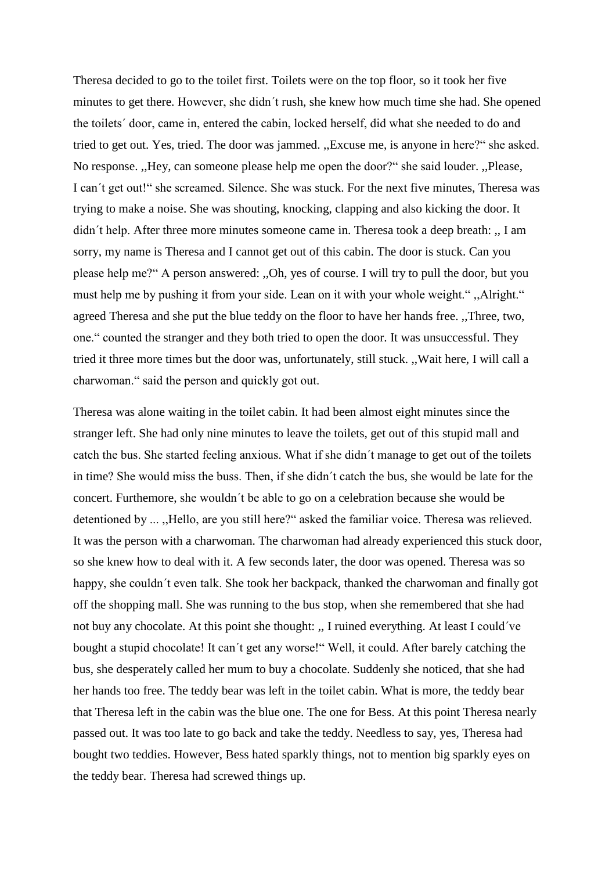Theresa decided to go to the toilet first. Toilets were on the top floor, so it took her five minutes to get there. However, she didn´t rush, she knew how much time she had. She opened the toilets´ door, came in, entered the cabin, locked herself, did what she needed to do and tried to get out. Yes, tried. The door was jammed. ,,Excuse me, is anyone in here?" she asked. No response. ,,Hey, can someone please help me open the door?" she said louder. ,,Please, I can´t get out!" she screamed. Silence. She was stuck. For the next five minutes, Theresa was trying to make a noise. She was shouting, knocking, clapping and also kicking the door. It didn´t help. After three more minutes someone came in. Theresa took a deep breath: ,, I am sorry, my name is Theresa and I cannot get out of this cabin. The door is stuck. Can you please help me?" A person answered: ,,Oh, yes of course. I will try to pull the door, but you must help me by pushing it from your side. Lean on it with your whole weight." ,,Alright." agreed Theresa and she put the blue teddy on the floor to have her hands free. ,,Three, two, one." counted the stranger and they both tried to open the door. It was unsuccessful. They tried it three more times but the door was, unfortunately, still stuck. ,,Wait here, I will call a charwoman." said the person and quickly got out.

Theresa was alone waiting in the toilet cabin. It had been almost eight minutes since the stranger left. She had only nine minutes to leave the toilets, get out of this stupid mall and catch the bus. She started feeling anxious. What if she didn´t manage to get out of the toilets in time? She would miss the buss. Then, if she didn´t catch the bus, she would be late for the concert. Furthemore, she wouldn´t be able to go on a celebration because she would be detentioned by ... ,,Hello, are you still here?" asked the familiar voice. Theresa was relieved. It was the person with a charwoman. The charwoman had already experienced this stuck door, so she knew how to deal with it. A few seconds later, the door was opened. Theresa was so happy, she couldn´t even talk. She took her backpack, thanked the charwoman and finally got off the shopping mall. She was running to the bus stop, when she remembered that she had not buy any chocolate. At this point she thought: ,, I ruined everything. At least I could´ve bought a stupid chocolate! It can´t get any worse!" Well, it could. After barely catching the bus, she desperately called her mum to buy a chocolate. Suddenly she noticed, that she had her hands too free. The teddy bear was left in the toilet cabin. What is more, the teddy bear that Theresa left in the cabin was the blue one. The one for Bess. At this point Theresa nearly passed out. It was too late to go back and take the teddy. Needless to say, yes, Theresa had bought two teddies. However, Bess hated sparkly things, not to mention big sparkly eyes on the teddy bear. Theresa had screwed things up.